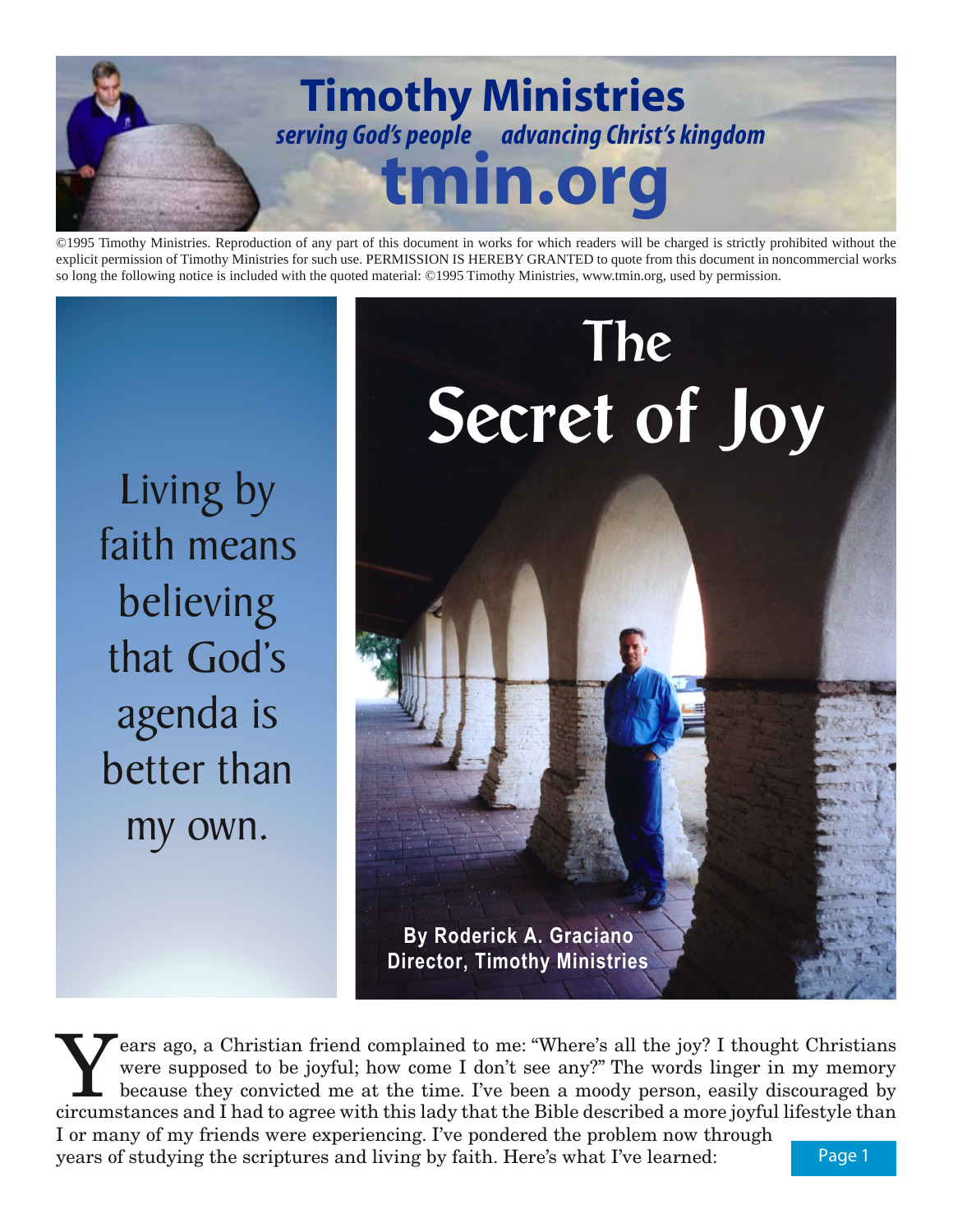

©1995 Timothy Ministries. Reproduction of any part of this document in works for which readers will be charged is strictly prohibited without the explicit permission of Timothy Ministries for such use. PERMISSION IS HEREBY GRANTED to quote from this document in noncommercial works so long the following notice is included with the quoted material: ©1995 Timothy Ministries, www.tmin.org, used by permission.

Living by faith means believing that God's agenda is better than my own.



Years ago, a Christian friend complained to me: "Where's all the joy? I thought Christians<br>were supposed to be joyful; how come I don't see any?" The words linger in my memory<br>because they convicted me at the time. I've be were supposed to be joyful; how come I don't see any?" The words linger in my memory because they convicted me at the time. I've been a moody person, easily discouraged by circumstances and I had to agree with this lady that the Bible described a more joyful lifestyle than I or many of my friends were experiencing. I've pondered the problem now through

years of studying the scriptures and living by faith. Here's what I've learned: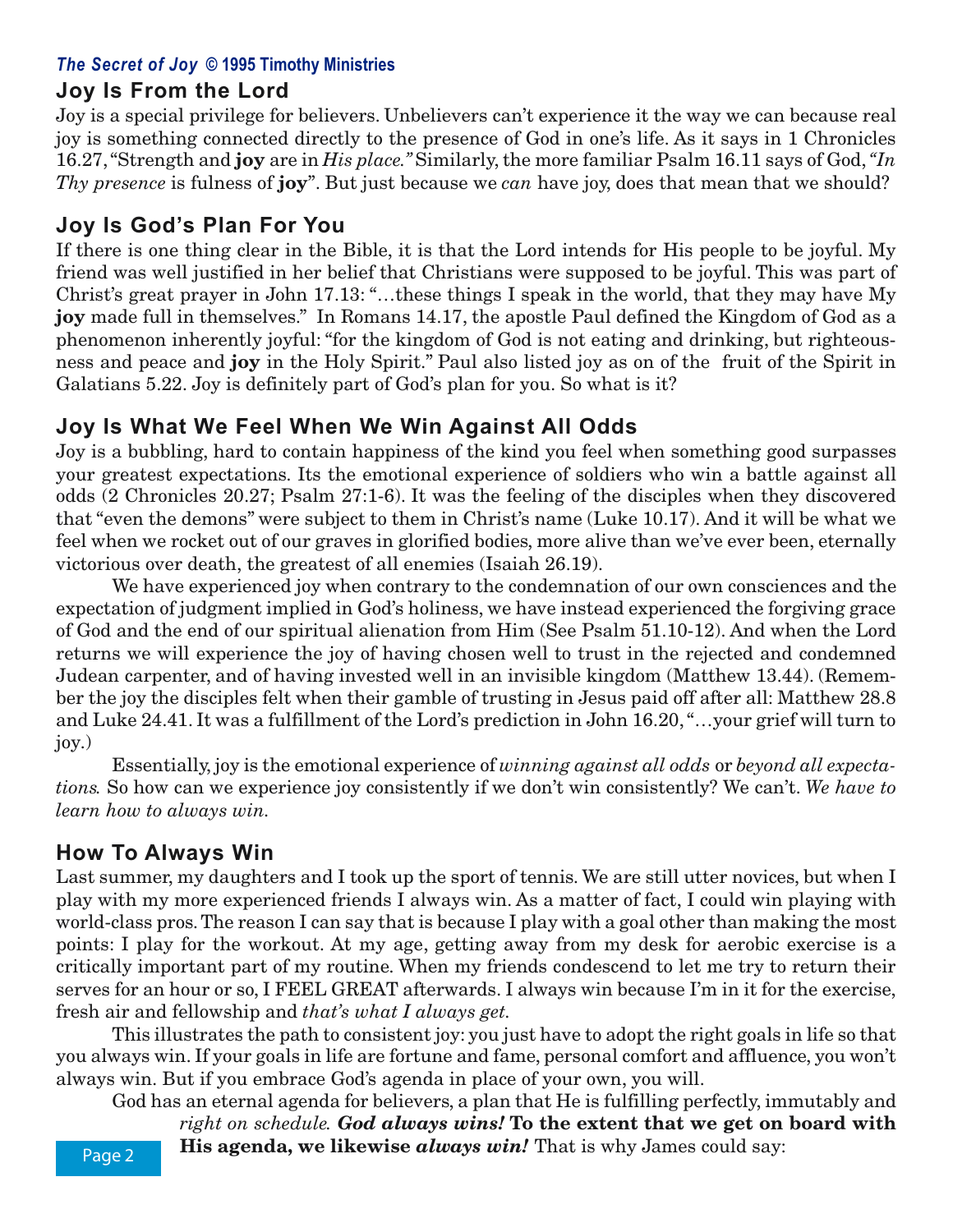## *The Secret of Joy* **© 1995 Timothy Ministries**

## **Joy Is From the Lord**

Joy is a special privilege for believers. Unbelievers can't experience it the way we can because real joy is something connected directly to the presence of God in one's life. As it says in 1 Chronicles 16.27, "Strength and **joy** are in *His place."* Similarly, the more familiar Psalm 16.11 says of God, *"In Thy presence* is fulness of **joy**". But just because we *can* have joy, does that mean that we should?

# **Joy Is God's Plan For You**

If there is one thing clear in the Bible, it is that the Lord intends for His people to be joyful. My friend was well justified in her belief that Christians were supposed to be joyful. This was part of Christ's great prayer in John 17.13: "…these things I speak in the world, that they may have My **joy** made full in themselves." In Romans 14.17, the apostle Paul defined the Kingdom of God as a phenomenon inherently joyful: "for the kingdom of God is not eating and drinking, but righteousness and peace and **joy** in the Holy Spirit." Paul also listed joy as on of the fruit of the Spirit in Galatians 5.22. Joy is definitely part of God's plan for you. So what is it?

# **Joy Is What We Feel When We Win Against All Odds**

Joy is a bubbling, hard to contain happiness of the kind you feel when something good surpasses your greatest expectations. Its the emotional experience of soldiers who win a battle against all odds (2 Chronicles 20.27; Psalm 27:1-6). It was the feeling of the disciples when they discovered that "even the demons" were subject to them in Christ's name (Luke 10.17). And it will be what we feel when we rocket out of our graves in glorified bodies, more alive than we've ever been, eternally victorious over death, the greatest of all enemies (Isaiah 26.19).

We have experienced joy when contrary to the condemnation of our own consciences and the expectation of judgment implied in God's holiness, we have instead experienced the forgiving grace of God and the end of our spiritual alienation from Him (See Psalm 51.10-12). And when the Lord returns we will experience the joy of having chosen well to trust in the rejected and condemned Judean carpenter, and of having invested well in an invisible kingdom (Matthew 13.44). (Remember the joy the disciples felt when their gamble of trusting in Jesus paid off after all: Matthew 28.8 and Luke 24.41. It was a fulfillment of the Lord's prediction in John 16.20, "…your grief will turn to joy.)

Essentially, joy is the emotional experience of *winning against all odds* or *beyond all expectations.* So how can we experience joy consistently if we don't win consistently? We can't. *We have to learn how to always win.*

# **How To Always Win**

Last summer, my daughters and I took up the sport of tennis. We are still utter novices, but when I play with my more experienced friends I always win. As a matter of fact, I could win playing with world-class pros. The reason I can say that is because I play with a goal other than making the most points: I play for the workout. At my age, getting away from my desk for aerobic exercise is a critically important part of my routine. When my friends condescend to let me try to return their serves for an hour or so, I FEEL GREAT afterwards. I always win because I'm in it for the exercise, fresh air and fellowship and *that's what I always get.*

This illustrates the path to consistent joy: you just have to adopt the right goals in life so that you always win. If your goals in life are fortune and fame, personal comfort and affluence, you won't always win. But if you embrace God's agenda in place of your own, you will.

God has an eternal agenda for believers, a plan that He is fulfilling perfectly, immutably and *right on schedule. God always wins!* **To the extent that we get on board with His agenda, we likewise** *always win!* That is why James could say: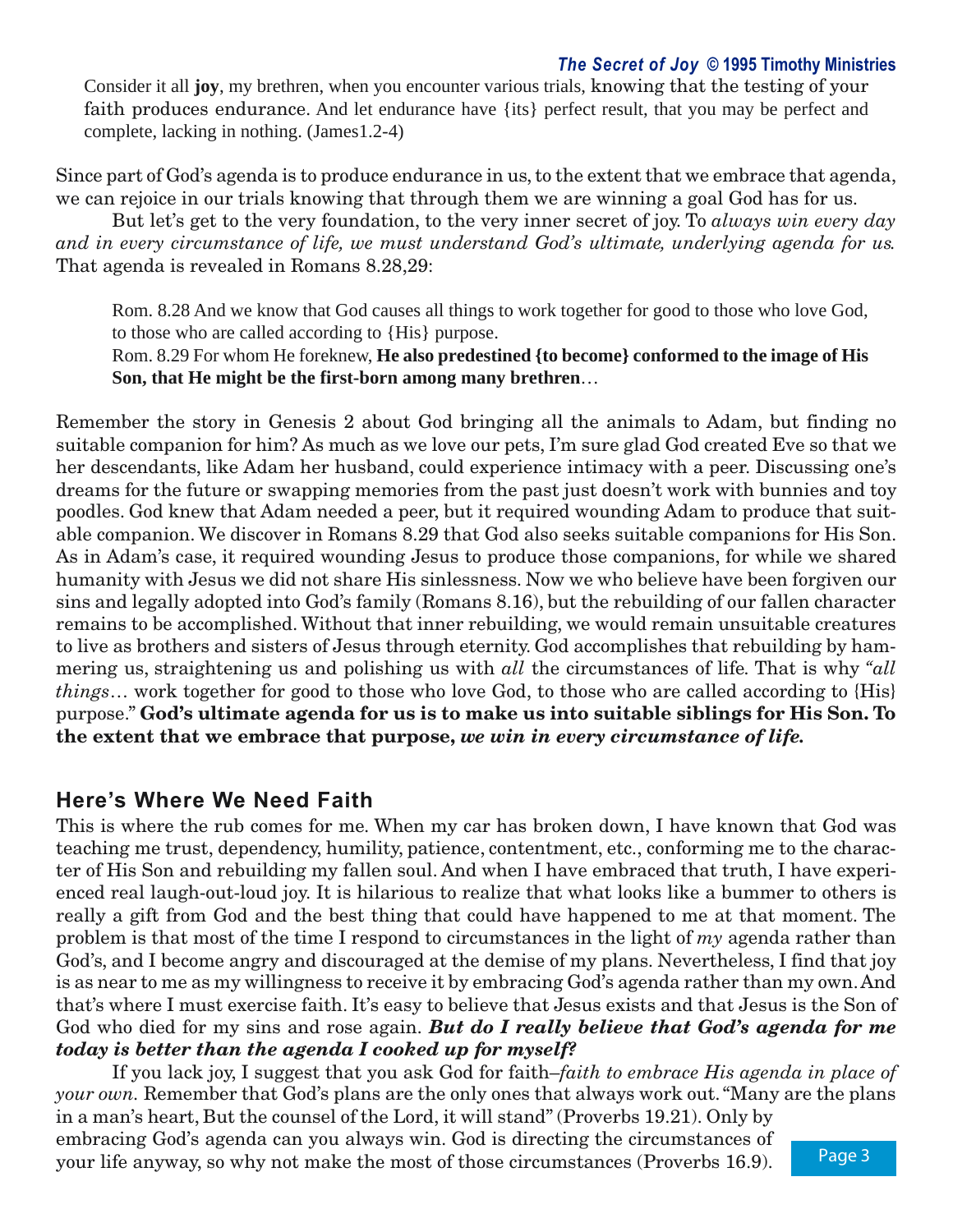### *The Secret of Joy* **© 1995 Timothy Ministries**

Consider it all **joy**, my brethren, when you encounter various trials, knowing that the testing of your faith produces endurance. And let endurance have {its} perfect result, that you may be perfect and complete, lacking in nothing. (James1.2-4)

Since part of God's agenda is to produce endurance in us, to the extent that we embrace that agenda, we can rejoice in our trials knowing that through them we are winning a goal God has for us.

But let's get to the very foundation, to the very inner secret of joy. To *always win every day and in every circumstance of life, we must understand God's ultimate, underlying agenda for us.* That agenda is revealed in Romans 8.28,29:

Rom. 8.28 And we know that God causes all things to work together for good to those who love God, to those who are called according to {His} purpose.

Rom. 8.29 For whom He foreknew, **He also predestined {to become} conformed to the image of His Son, that He might be the first-born among many brethren**…

Remember the story in Genesis 2 about God bringing all the animals to Adam, but finding no suitable companion for him? As much as we love our pets, I'm sure glad God created Eve so that we her descendants, like Adam her husband, could experience intimacy with a peer. Discussing one's dreams for the future or swapping memories from the past just doesn't work with bunnies and toy poodles. God knew that Adam needed a peer, but it required wounding Adam to produce that suitable companion. We discover in Romans 8.29 that God also seeks suitable companions for His Son. As in Adam's case, it required wounding Jesus to produce those companions, for while we shared humanity with Jesus we did not share His sinlessness. Now we who believe have been forgiven our sins and legally adopted into God's family (Romans 8.16), but the rebuilding of our fallen character remains to be accomplished. Without that inner rebuilding, we would remain unsuitable creatures to live as brothers and sisters of Jesus through eternity. God accomplishes that rebuilding by hammering us, straightening us and polishing us with *all* the circumstances of life. That is why *"all things*… work together for good to those who love God, to those who are called according to {His} purpose." **God's ultimate agenda for us is to make us into suitable siblings for His Son. To the extent that we embrace that purpose,** *we win in every circumstance of life.*

## **Here's Where We Need Faith**

This is where the rub comes for me. When my car has broken down, I have known that God was teaching me trust, dependency, humility, patience, contentment, etc., conforming me to the character of His Son and rebuilding my fallen soul. And when I have embraced that truth, I have experienced real laugh-out-loud joy. It is hilarious to realize that what looks like a bummer to others is really a gift from God and the best thing that could have happened to me at that moment. The problem is that most of the time I respond to circumstances in the light of *my* agenda rather than God's, and I become angry and discouraged at the demise of my plans. Nevertheless, I find that joy is as near to me as my willingness to receive it by embracing God's agenda rather than my own. And that's where I must exercise faith. It's easy to believe that Jesus exists and that Jesus is the Son of God who died for my sins and rose again. *But do I really believe that God's agenda for me today is better than the agenda I cooked up for myself?*

Page 3 If you lack joy, I suggest that you ask God for faith–*faith to embrace His agenda in place of your own.* Remember that God's plans are the only ones that always work out. "Many are the plans in a man's heart, But the counsel of the Lord, it will stand" (Proverbs 19.21). Only by embracing God's agenda can you always win. God is directing the circumstances of your life anyway, so why not make the most of those circumstances (Proverbs 16.9).